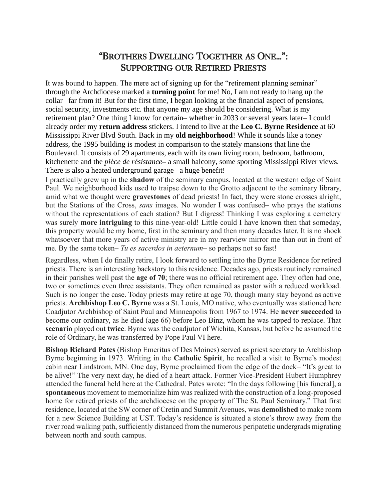## "BROTHERS DWELLING TOGETHER AS ONE…": SUPPORTING OUR RETIRED PRIESTS

It was bound to happen. The mere act of signing up for the "retirement planning seminar" through the Archdiocese marked a **turning point** for me! No, I am not ready to hang up the collar– far from it! But for the first time, I began looking at the financial aspect of pensions, social security, investments etc. that anyone my age should be considering. What is my retirement plan? One thing I know for certain– whether in 2033 or several years later– I could already order my **return address** stickers. I intend to live at the **Leo C. Byrne Residence** at 60 Mississippi River Blvd South. Back in my **old neighborhood**! While it sounds like a toney address, the 1995 building is modest in comparison to the stately mansions that line the Boulevard. It consists of 29 apartments, each with its own living room, bedroom, bathroom, kitchenette and the *pièce de résistance***–** a small balcony, some sporting Mississippi River views. There is also a heated underground garage– a huge benefit!

I practically grew up in the **shadow** of the seminary campus, located at the western edge of Saint Paul. We neighborhood kids used to traipse down to the Grotto adjacent to the seminary library, amid what we thought were **gravestones** of dead priests! In fact, they were stone crosses alright, but the Stations of the Cross, *sans* images. No wonder I was confused– who prays the stations without the representations of each station? But I digress! Thinking I was exploring a cemetery was surely **more intriguing** to this nine-year-old! Little could I have known then that someday, this property would be my home, first in the seminary and then many decades later. It is no shock whatsoever that more years of active ministry are in my rearview mirror me than out in front of me. By the same token– *Tu es sacerdos in aeternum–* so perhaps not so fast!

Regardless, when I do finally retire, I look forward to settling into the Byrne Residence for retired priests. There is an interesting backstory to this residence. Decades ago, priests routinely remained in their parishes well past the **age of 70**; there was no official retirement age. They often had one, two or sometimes even three assistants. They often remained as pastor with a reduced workload. Such is no longer the case. Today priests may retire at age 70, though many stay beyond as active priests. **Archbishop Leo C. Byrne** was a St. Louis, MO native, who eventually was stationed here Coadjutor Archbishop of Saint Paul and Minneapolis from 1967 to 1974. He **never succeeded** to become our ordinary, as he died (age 66) before Leo Binz, whom he was tapped to replace. That **scenario** played out **twice**. Byrne was the coadjutor of Wichita, Kansas, but before he assumed the role of Ordinary, he was transferred by Pope Paul VI here.

**Bishop Richard Pates** (Bishop Emeritus of Des Moines) served as priest secretary to Archbishop Byrne beginning in 1973. Writing in the **Catholic Spirit**, he recalled a visit to Byrne's modest cabin near Lindstrom, MN. One day, Byrne proclaimed from the edge of the dock– "It's great to be alive!" The very next day, he died of a heart attack. Former Vice-President Hubert Humphrey attended the funeral held here at the Cathedral. Pates wrote: "In the days following [his funeral], a **spontaneous** movement to memorialize him was realized with the construction of a long-proposed home for retired priests of the archdiocese on the property of The St. Paul Seminary." That first residence, located at the SW corner of Cretin and Summit Avenues, was **demolished** to make room for a new Science Building at UST. Today's residence is situated a stone's throw away from the river road walking path, sufficiently distanced from the numerous peripatetic undergrads migrating between north and south campus.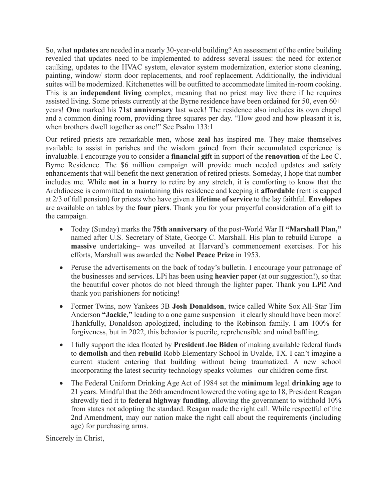So, what **updates** are needed in a nearly 30-year-old building? An assessment of the entire building revealed that updates need to be implemented to address several issues: the need for exterior caulking, updates to the HVAC system, elevator system modernization, exterior stone cleaning, painting, window/ storm door replacements, and roof replacement. Additionally, the individual suites will be modernized. Kitchenettes will be outfitted to accommodate limited in-room cooking. This is an **independent living** complex, meaning that no priest may live there if he requires assisted living. Some priests currently at the Byrne residence have been ordained for 50, even 60+ years! **One** marked his **71st anniversary** last week! The residence also includes its own chapel and a common dining room, providing three squares per day. "How good and how pleasant it is, when brothers dwell together as one!" See Psalm 133:1

Our retired priests are remarkable men, whose **zeal** has inspired me. They make themselves available to assist in parishes and the wisdom gained from their accumulated experience is invaluable. I encourage you to consider a **financial gift** in support of the **renovation** of the Leo C. Byrne Residence. The \$6 million campaign will provide much needed updates and safety enhancements that will benefit the next generation of retired priests. Someday, I hope that number includes me. While **not in a hurry** to retire by any stretch, it is comforting to know that the Archdiocese is committed to maintaining this residence and keeping it **affordable** (rent is capped at 2/3 of full pension) for priests who have given a **lifetime of service** to the lay faithful. **Envelopes** are available on tables by the **four piers**. Thank you for your prayerful consideration of a gift to the campaign.

- Today (Sunday) marks the **75th anniversary** of the post-World War II **"Marshall Plan,"** named after U.S. Secretary of State, George C. Marshall. His plan to rebuild Europe– a **massive** undertaking– was unveiled at Harvard's commencement exercises. For his efforts, Marshall was awarded the **Nobel Peace Prize** in 1953.
- Peruse the advertisements on the back of today's bulletin. I encourage your patronage of the businesses and services. LPi has been using **heavier** paper (at our suggestion!), so that the beautiful cover photos do not bleed through the lighter paper. Thank you **LPi!** And thank you parishioners for noticing!
- Former Twins, now Yankees 3B **Josh Donaldson**, twice called White Sox All-Star Tim Anderson **"Jackie,"** leading to a one game suspension– it clearly should have been more! Thankfully, Donaldson apologized, including to the Robinson family. I am 100% for forgiveness, but in 2022, this behavior is puerile, reprehensible and mind baffling.
- I fully support the idea floated by **President Joe Biden** of making available federal funds to **demolish** and then **rebuild** Robb Elementary School in Uvalde, TX. I can't imagine a current student entering that building without being traumatized. A new school incorporating the latest security technology speaks volumes– our children come first.
- The Federal Uniform Drinking Age Act of 1984 set the **minimum** legal **drinking age** to 21 years. Mindful that the 26th amendment lowered the voting age to 18, President Reagan shrewdly tied it to **federal highway funding**, allowing the government to withhold 10% from states not adopting the standard. Reagan made the right call. While respectful of the 2nd Amendment, may our nation make the right call about the requirements (including age) for purchasing arms.

Sincerely in Christ,